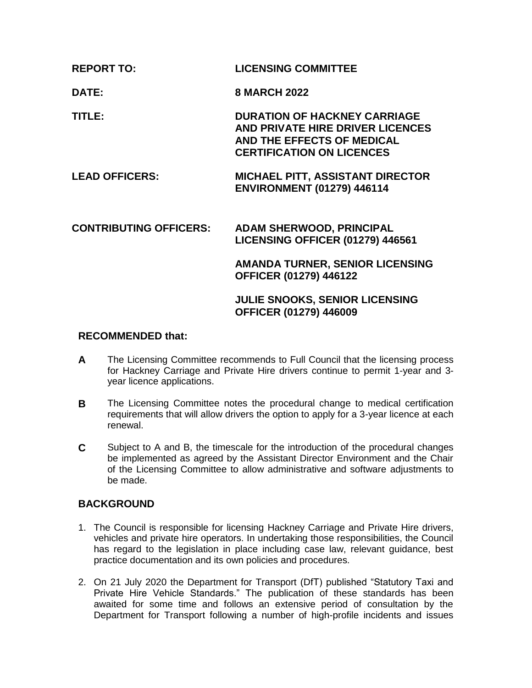| <b>LICENSING COMMITTEE</b> |
|----------------------------|
|                            |

**DATE: 8 MARCH 2022**

**TITLE: DURATION OF HACKNEY CARRIAGE AND PRIVATE HIRE DRIVER LICENCES AND THE EFFECTS OF MEDICAL CERTIFICATION ON LICENCES**

**LEAD OFFICERS: MICHAEL PITT, ASSISTANT DIRECTOR ENVIRONMENT (01279) 446114**

# **CONTRIBUTING OFFICERS: ADAM SHERWOOD, PRINCIPAL LICENSING OFFICER (01279) 446561 AMANDA TURNER, SENIOR LICENSING OFFICER (01279) 446122**

## **JULIE SNOOKS, SENIOR LICENSING OFFICER (01279) 446009**

## **RECOMMENDED that:**

- **A** The Licensing Committee recommends to Full Council that the licensing process for Hackney Carriage and Private Hire drivers continue to permit 1-year and 3 year licence applications.
- **B** The Licensing Committee notes the procedural change to medical certification requirements that will allow drivers the option to apply for a 3-year licence at each renewal.
- **C** Subject to A and B, the timescale for the introduction of the procedural changes be implemented as agreed by the Assistant Director Environment and the Chair of the Licensing Committee to allow administrative and software adjustments to be made.

# **BACKGROUND**

- 1. The Council is responsible for licensing Hackney Carriage and Private Hire drivers, vehicles and private hire operators. In undertaking those responsibilities, the Council has regard to the legislation in place including case law, relevant guidance, best practice documentation and its own policies and procedures.
- 2. On 21 July 2020 the Department for Transport (DfT) published "Statutory Taxi and Private Hire Vehicle Standards." The publication of these standards has been awaited for some time and follows an extensive period of consultation by the Department for Transport following a number of high-profile incidents and issues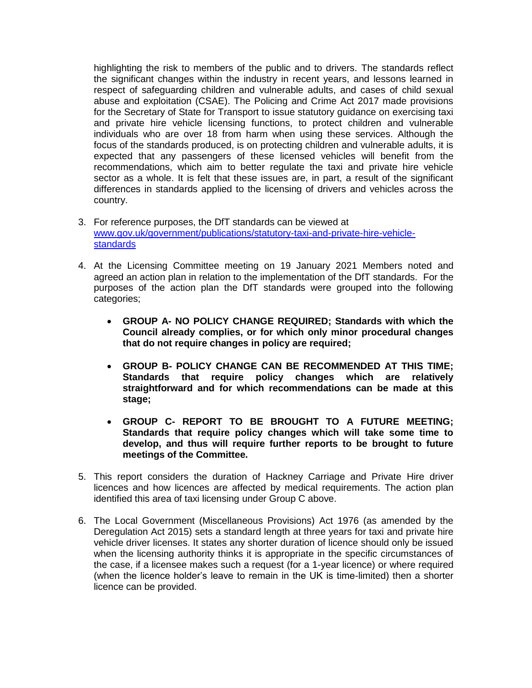highlighting the risk to members of the public and to drivers. The standards reflect the significant changes within the industry in recent years, and lessons learned in respect of safeguarding children and vulnerable adults, and cases of child sexual abuse and exploitation (CSAE). The Policing and Crime Act 2017 made provisions for the Secretary of State for Transport to issue statutory guidance on exercising taxi and private hire vehicle licensing functions, to protect children and vulnerable individuals who are over 18 from harm when using these services. Although the focus of the standards produced, is on protecting children and vulnerable adults, it is expected that any passengers of these licensed vehicles will benefit from the recommendations, which aim to better regulate the taxi and private hire vehicle sector as a whole. It is felt that these issues are, in part, a result of the significant differences in standards applied to the licensing of drivers and vehicles across the country.

- 3. For reference purposes, the DfT standards can be viewed at [www.gov.uk/government/publications/statutory-taxi-and-private-hire-vehicle](http://www.gov.uk/government/publications/statutory-taxi-and-private-hire-vehicle-standards)[standards](http://www.gov.uk/government/publications/statutory-taxi-and-private-hire-vehicle-standards)
- 4. At the Licensing Committee meeting on 19 January 2021 Members noted and agreed an action plan in relation to the implementation of the DfT standards. For the purposes of the action plan the DfT standards were grouped into the following categories;
	- **GROUP A- NO POLICY CHANGE REQUIRED; Standards with which the Council already complies, or for which only minor procedural changes that do not require changes in policy are required;**
	- **GROUP B- POLICY CHANGE CAN BE RECOMMENDED AT THIS TIME; Standards that require policy changes which are relatively straightforward and for which recommendations can be made at this stage;**
	- **GROUP C- REPORT TO BE BROUGHT TO A FUTURE MEETING; Standards that require policy changes which will take some time to develop, and thus will require further reports to be brought to future meetings of the Committee.**
- 5. This report considers the duration of Hackney Carriage and Private Hire driver licences and how licences are affected by medical requirements. The action plan identified this area of taxi licensing under Group C above.
- 6. The Local Government (Miscellaneous Provisions) Act 1976 (as amended by the Deregulation Act 2015) sets a standard length at three years for taxi and private hire vehicle driver licenses. It states any shorter duration of licence should only be issued when the licensing authority thinks it is appropriate in the specific circumstances of the case, if a licensee makes such a request (for a 1-year licence) or where required (when the licence holder's leave to remain in the UK is time-limited) then a shorter licence can be provided.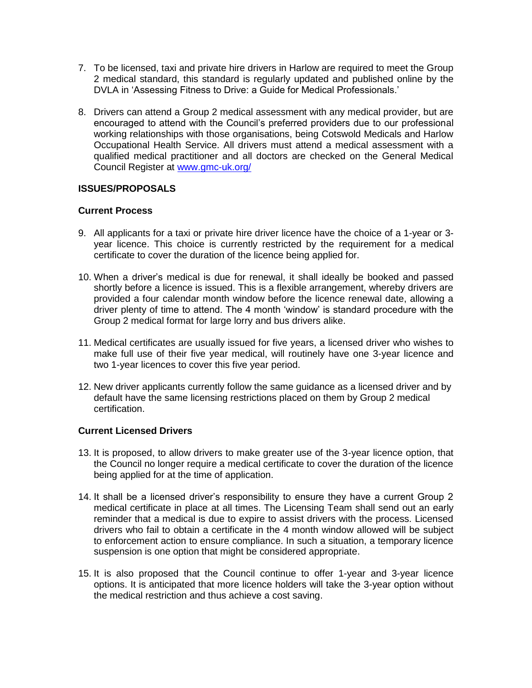- 7. To be licensed, taxi and private hire drivers in Harlow are required to meet the Group 2 medical standard, this standard is regularly updated and published online by the DVLA in 'Assessing Fitness to Drive: a Guide for Medical Professionals.'
- 8. Drivers can attend a Group 2 medical assessment with any medical provider, but are encouraged to attend with the Council's preferred providers due to our professional working relationships with those organisations, being Cotswold Medicals and Harlow Occupational Health Service. All drivers must attend a medical assessment with a qualified medical practitioner and all doctors are checked on the General Medical Council Register at [www.gmc-uk.org/](http://www.gmc-uk.org/)

## **ISSUES/PROPOSALS**

#### **Current Process**

- 9. All applicants for a taxi or private hire driver licence have the choice of a 1-year or 3 year licence. This choice is currently restricted by the requirement for a medical certificate to cover the duration of the licence being applied for.
- 10. When a driver's medical is due for renewal, it shall ideally be booked and passed shortly before a licence is issued. This is a flexible arrangement, whereby drivers are provided a four calendar month window before the licence renewal date, allowing a driver plenty of time to attend. The 4 month 'window' is standard procedure with the Group 2 medical format for large lorry and bus drivers alike.
- 11. Medical certificates are usually issued for five years, a licensed driver who wishes to make full use of their five year medical, will routinely have one 3-year licence and two 1-year licences to cover this five year period.
- 12. New driver applicants currently follow the same guidance as a licensed driver and by default have the same licensing restrictions placed on them by Group 2 medical certification.

#### **Current Licensed Drivers**

- 13. It is proposed, to allow drivers to make greater use of the 3-year licence option, that the Council no longer require a medical certificate to cover the duration of the licence being applied for at the time of application.
- 14. It shall be a licensed driver's responsibility to ensure they have a current Group 2 medical certificate in place at all times. The Licensing Team shall send out an early reminder that a medical is due to expire to assist drivers with the process. Licensed drivers who fail to obtain a certificate in the 4 month window allowed will be subject to enforcement action to ensure compliance. In such a situation, a temporary licence suspension is one option that might be considered appropriate.
- 15. It is also proposed that the Council continue to offer 1-year and 3-year licence options. It is anticipated that more licence holders will take the 3-year option without the medical restriction and thus achieve a cost saving.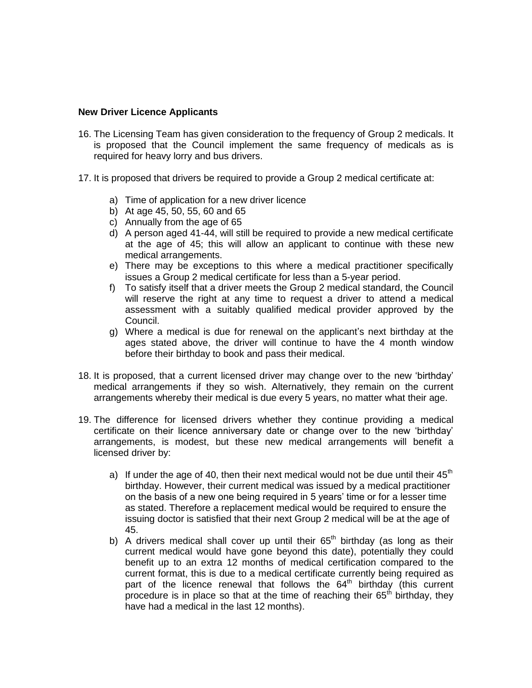#### **New Driver Licence Applicants**

- 16. The Licensing Team has given consideration to the frequency of Group 2 medicals. It is proposed that the Council implement the same frequency of medicals as is required for heavy lorry and bus drivers.
- 17. It is proposed that drivers be required to provide a Group 2 medical certificate at:
	- a) Time of application for a new driver licence
	- b) At age 45, 50, 55, 60 and 65
	- c) Annually from the age of 65
	- d) A person aged 41-44, will still be required to provide a new medical certificate at the age of 45; this will allow an applicant to continue with these new medical arrangements.
	- e) There may be exceptions to this where a medical practitioner specifically issues a Group 2 medical certificate for less than a 5-year period.
	- f) To satisfy itself that a driver meets the Group 2 medical standard, the Council will reserve the right at any time to request a driver to attend a medical assessment with a suitably qualified medical provider approved by the Council.
	- g) Where a medical is due for renewal on the applicant's next birthday at the ages stated above, the driver will continue to have the 4 month window before their birthday to book and pass their medical.
- 18. It is proposed, that a current licensed driver may change over to the new 'birthday' medical arrangements if they so wish. Alternatively, they remain on the current arrangements whereby their medical is due every 5 years, no matter what their age.
- 19. The difference for licensed drivers whether they continue providing a medical certificate on their licence anniversary date or change over to the new 'birthday' arrangements, is modest, but these new medical arrangements will benefit a licensed driver by:
	- a) If under the age of 40, then their next medical would not be due until their  $45<sup>th</sup>$ birthday. However, their current medical was issued by a medical practitioner on the basis of a new one being required in 5 years' time or for a lesser time as stated. Therefore a replacement medical would be required to ensure the issuing doctor is satisfied that their next Group 2 medical will be at the age of 45.
	- b) A drivers medical shall cover up until their  $65<sup>th</sup>$  birthday (as long as their current medical would have gone beyond this date), potentially they could benefit up to an extra 12 months of medical certification compared to the current format, this is due to a medical certificate currently being required as part of the licence renewal that follows the  $64<sup>th</sup>$  birthday (this current procedure is in place so that at the time of reaching their  $65<sup>th</sup>$  birthday, they have had a medical in the last 12 months).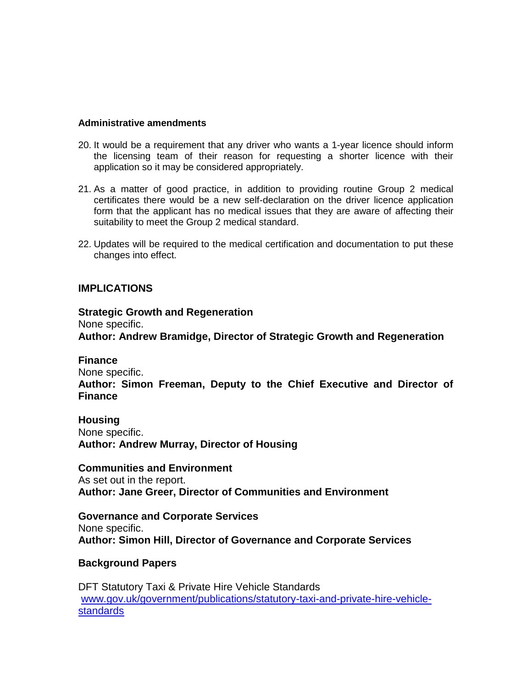#### **Administrative amendments**

- 20. It would be a requirement that any driver who wants a 1-year licence should inform the licensing team of their reason for requesting a shorter licence with their application so it may be considered appropriately.
- 21. As a matter of good practice, in addition to providing routine Group 2 medical certificates there would be a new self-declaration on the driver licence application form that the applicant has no medical issues that they are aware of affecting their suitability to meet the Group 2 medical standard.
- 22. Updates will be required to the medical certification and documentation to put these changes into effect.

## **IMPLICATIONS**

**Strategic Growth and Regeneration**  None specific. **Author: Andrew Bramidge, Director of Strategic Growth and Regeneration** 

**Finance**  None specific. **Author: Simon Freeman, Deputy to the Chief Executive and Director of Finance**

**Housing** None specific. **Author: Andrew Murray, Director of Housing** 

**Communities and Environment** As set out in the report. **Author: Jane Greer, Director of Communities and Environment**

**Governance and Corporate Services** None specific. **Author: Simon Hill, Director of Governance and Corporate Services**

## **Background Papers**

DFT Statutory Taxi & Private Hire Vehicle Standards [www.gov.uk/government/publications/statutory-taxi-and-private-hire-vehicle](http://www.gov.uk/government/publications/statutory-taxi-and-private-hire-vehicle-standards)[standards](http://www.gov.uk/government/publications/statutory-taxi-and-private-hire-vehicle-standards)